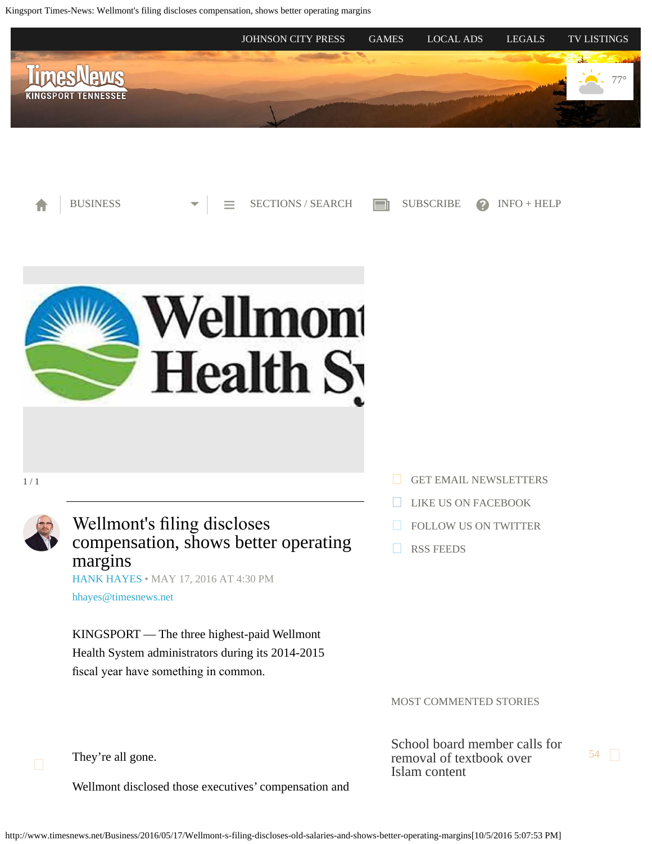<span id="page-0-0"></span>Kingsport Times-News: Wellmont's filing discloses compensation, shows better operating margins







1 / 1



Wellmont's fling discloses compensation, shows better operating margins [HANK HAYES](http://www.timesnews.net/authors?user=hank%20hayes) • MAY 17, 2016 AT 4:30 PM

[hhayes@timesnews.net](mailto:hhayes@timesnews.net)

KINGSPORT — The three highest-paid Wellmont Health System administrators during its 2014-2015 fscal year have something in common.

They're all gone.

Wellmont disclosed those executives' compensation and

- [GET EMAIL NEWSLETTERS](https://2.dat-e-baseonline.com/front/deb.asp?Action=Reg&zx=357)
- [LIKE US ON FACEBOOK](https://www.facebook.com/timesnews)
- [FOLLOW US ON TWITTER](https://twitter.com/TimesNewsOnline)
- [RSS FEEDS](http://www.timesnews.net/feed)

MOST COMMENTED STORIES

[School board member calls for](http://www.timesnews.net/Education/2016/10/04/Ireson-calls-for-removal-of-Pearson-seventh-grade-history-text-from-Sullivan-schools?ci=mostcommented&lp=1) [removal of textbook over](http://www.timesnews.net/Education/2016/10/04/Ireson-calls-for-removal-of-Pearson-seventh-grade-history-text-from-Sullivan-schools?ci=mostcommented&lp=1) [Islam content](http://www.timesnews.net/Education/2016/10/04/Ireson-calls-for-removal-of-Pearson-seventh-grade-history-text-from-Sullivan-schools?ci=mostcommented&lp=1)

[54](http://www.timesnews.net/Education/2016/10/04/Ireson-calls-for-removal-of-Pearson-seventh-grade-history-text-from-Sullivan-schools?ci=mostcommented&lp=1#comments)  $\Box$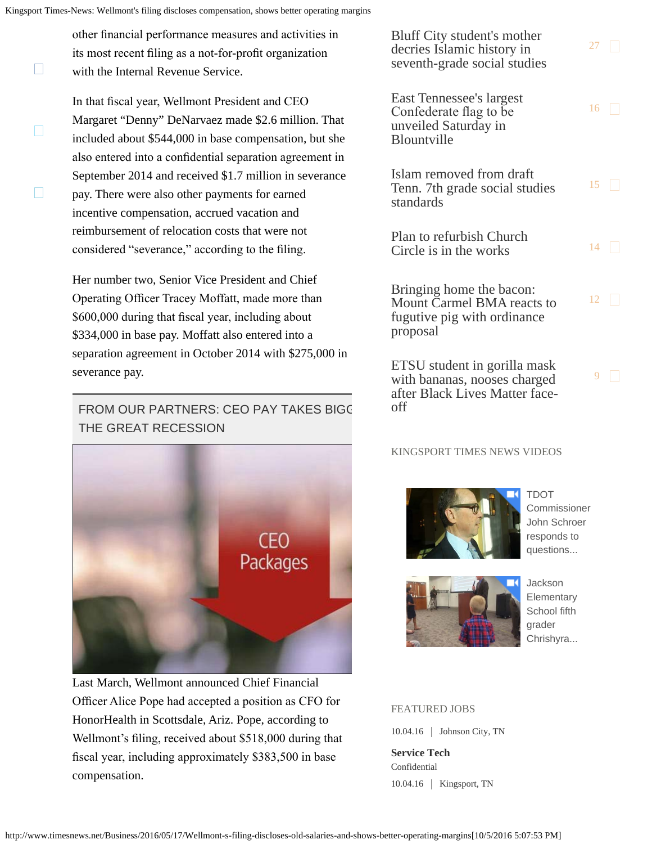$\Box$ 

 $\Box$ 

 $\Box$ 

other fnancial performance measures and activities in its most recent fling as a not-for-proft organization with the Internal Revenue Service.

In that fscal year, Wellmont President and CEO Margaret "Denny" DeNarvaez made \$2.6 million. That included about \$544,000 in base compensation, but she also entered into a confdential separation agreement in September 2014 and received \$1.7 million in severance pay. There were also other payments for earned incentive compensation, accrued vacation and reimbursement of relocation costs that were not considered "severance," according to the fling.

Her number two, Senior Vice President and Chief Operating Officer Tracey Moffatt, made more than \$600,000 during that fscal year, including about \$334,000 in base pay. Moffatt also entered into a separation agreement in October 2014 with \$275,000 in severance pay.

# FROM OUR PARTNERS: CEO PAY TAKES BIGG THE GREAT RECESSION



Last March, Wellmont announced Chief Financial Officer Alice Pope had accepted a position as CFO for HonorHealth in Scottsdale, Ariz. Pope, according to Wellmont's fling, received about \$518,000 during that fscal year, including approximately \$383,500 in base compensation.

[Bluff City student's mother](http://www.timesnews.net/Education/2016/09/27/Bluff-City-student-s-mother-decries-Islamic-history-in-seventh-grade-social-studies?ci=mostcommented&lp=2) [decries Islamic history in](http://www.timesnews.net/Education/2016/09/27/Bluff-City-student-s-mother-decries-Islamic-history-in-seventh-grade-social-studies?ci=mostcommented&lp=2) [seventh-grade social studies](http://www.timesnews.net/Education/2016/09/27/Bluff-City-student-s-mother-decries-Islamic-history-in-seventh-grade-social-studies?ci=mostcommented&lp=2)

[27](http://www.timesnews.net/Education/2016/09/27/Bluff-City-student-s-mother-decries-Islamic-history-in-seventh-grade-social-studies?ci=mostcommented&lp=2#comments)  $\Box$ 

 $16$ 

 $15$ 

 $12$ 

 $9$ 

[East Tennessee's largest](http://www.timesnews.net/Community/2016/09/23/East-Tennessee-s-largest-Confederate-flag-to-be-unveiled-Saturday-in-Blountville?ci=mostcommented&lp=3) [Confederate fag to be](http://www.timesnews.net/Community/2016/09/23/East-Tennessee-s-largest-Confederate-flag-to-be-unveiled-Saturday-in-Blountville?ci=mostcommented&lp=3) [unveiled Saturday in](http://www.timesnews.net/Community/2016/09/23/East-Tennessee-s-largest-Confederate-flag-to-be-unveiled-Saturday-in-Blountville?ci=mostcommented&lp=3) **[Blountville](http://www.timesnews.net/Community/2016/09/23/East-Tennessee-s-largest-Confederate-flag-to-be-unveiled-Saturday-in-Blountville?ci=mostcommented&lp=3)** 

[Islam removed from draft](http://www.timesnews.net/Education/2016/09/25/Islam-removed-from-draft-Tenn-7th-grade-social-studies-standards?ci=mostcommented&lp=4) [Tenn. 7th grade social studies](http://www.timesnews.net/Education/2016/09/25/Islam-removed-from-draft-Tenn-7th-grade-social-studies-standards?ci=mostcommented&lp=4) [standards](http://www.timesnews.net/Education/2016/09/25/Islam-removed-from-draft-Tenn-7th-grade-social-studies-standards?ci=mostcommented&lp=4)

[Plan to refurbish Church](http://www.timesnews.net/Community/2016/10/03/Plan-in-the-works-to-refurbish-Church-Circle?ci=mostcommented&lp=5) [Circle is in the works](http://www.timesnews.net/Community/2016/10/03/Plan-in-the-works-to-refurbish-Church-Circle?ci=mostcommented&lp=5)  $14 \Box$  $14 \Box$ 

[Bringing home the bacon:](http://www.timesnews.net/Law-Enforcement/2016/09/28/Bringing-home-the-bacon-Mount-Carmel-BMA-reacts-to-fugutive-pig-with-ordinance-proposal?ci=mostcommented&lp=6) [Mount Carmel BMA reacts to](http://www.timesnews.net/Law-Enforcement/2016/09/28/Bringing-home-the-bacon-Mount-Carmel-BMA-reacts-to-fugutive-pig-with-ordinance-proposal?ci=mostcommented&lp=6) [fugutive pig with ordinance](http://www.timesnews.net/Law-Enforcement/2016/09/28/Bringing-home-the-bacon-Mount-Carmel-BMA-reacts-to-fugutive-pig-with-ordinance-proposal?ci=mostcommented&lp=6) [proposal](http://www.timesnews.net/Law-Enforcement/2016/09/28/Bringing-home-the-bacon-Mount-Carmel-BMA-reacts-to-fugutive-pig-with-ordinance-proposal?ci=mostcommented&lp=6)

[ETSU student in gorilla mask](http://www.timesnews.net/Local/2016/09/28/ETSU-student-in-gorilla-mask-with-bananas-nooses-charged-after-Black-Lives-Matter-face-off?ci=mostcommented&lp=7) [with bananas, nooses charged](http://www.timesnews.net/Local/2016/09/28/ETSU-student-in-gorilla-mask-with-bananas-nooses-charged-after-Black-Lives-Matter-face-off?ci=mostcommented&lp=7) [after Black Lives Matter face](http://www.timesnews.net/Local/2016/09/28/ETSU-student-in-gorilla-mask-with-bananas-nooses-charged-after-Black-Lives-Matter-face-off?ci=mostcommented&lp=7)[off](http://www.timesnews.net/Local/2016/09/28/ETSU-student-in-gorilla-mask-with-bananas-nooses-charged-after-Black-Lives-Matter-face-off?ci=mostcommented&lp=7)

## KINGSPORT TIMES NEWS VIDEOS



[TDOT](http://videos.timesnews.net/timesnews/niw6po?v=autoplay_postroll&e=e0018&opn=right_rail_embed) [Commissioner](http://videos.timesnews.net/timesnews/niw6po?v=autoplay_postroll&e=e0018&opn=right_rail_embed) [John Schroer](http://videos.timesnews.net/timesnews/niw6po?v=autoplay_postroll&e=e0018&opn=right_rail_embed) [responds to](http://videos.timesnews.net/timesnews/niw6po?v=autoplay_postroll&e=e0018&opn=right_rail_embed) [questions...](http://videos.timesnews.net/timesnews/niw6po?v=autoplay_postroll&e=e0018&opn=right_rail_embed)



**[Jackson](http://videos.timesnews.net/timesnews/cfygm7?v=autoplay_postroll&e=e0018&opn=right_rail_embed) [Elementary](http://videos.timesnews.net/timesnews/cfygm7?v=autoplay_postroll&e=e0018&opn=right_rail_embed)** [School fifth](http://videos.timesnews.net/timesnews/cfygm7?v=autoplay_postroll&e=e0018&opn=right_rail_embed) [grader](http://videos.timesnews.net/timesnews/cfygm7?v=autoplay_postroll&e=e0018&opn=right_rail_embed) [Chrishyra...](http://videos.timesnews.net/timesnews/cfygm7?v=autoplay_postroll&e=e0018&opn=right_rail_embed)

#### FEATURED JOBS

10.04.16 Johnson City, TN

**Service Tech** Confidential 10.04.16 | Kingsport, TN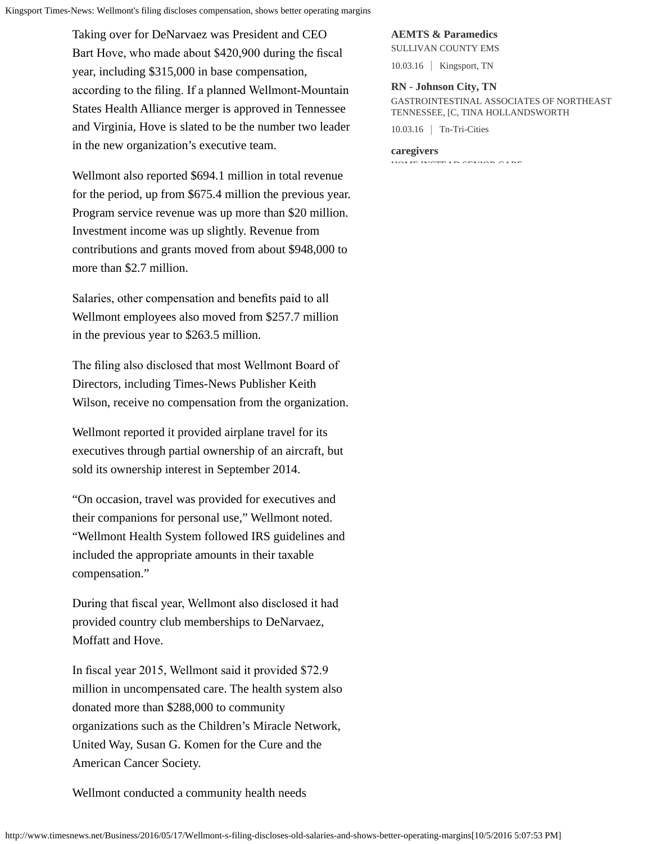Kingsport Times-News: Wellmont's filing discloses compensation, shows better operating margins

Taking over for DeNarvaez was President and CEO Bart Hove, who made about \$420,900 during the fscal year, including \$315,000 in base compensation, according to the fling. If a planned Wellmont-Mountain States Health Alliance merger is approved in Tennessee and Virginia, Hove is slated to be the number two leader in the new organization's executive team.

Wellmont also reported \$694.1 million in total revenue for the period, up from \$675.4 million the previous year. Program service revenue was up more than \$20 million. Investment income was up slightly. Revenue from contributions and grants moved from about \$948,000 to more than \$2.7 million.

Salaries, other compensation and benefts paid to all Wellmont employees also moved from \$257.7 million in the previous year to \$263.5 million.

The fling also disclosed that most Wellmont Board of Directors, including Times-News Publisher Keith Wilson, receive no compensation from the organization.

Wellmont reported it provided airplane travel for its executives through partial ownership of an aircraft, but sold its ownership interest in September 2014.

"On occasion, travel was provided for executives and their companions for personal use," Wellmont noted. "Wellmont Health System followed IRS guidelines and included the appropriate amounts in their taxable compensation."

During that fscal year, Wellmont also disclosed it had provided country club memberships to DeNarvaez, Moffatt and Hove.

In fscal year 2015, Wellmont said it provided \$72.9 million in uncompensated care. The health system also donated more than \$288,000 to community organizations such as the Children's Miracle Network, United Way, Susan G. Komen for the Cure and the American Cancer Society.

Wellmont conducted a community health needs

## **AEMTS & Paramedics**

SULLIVAN COUNTY EMS 10.03.16 | Kingsport, TN

**RN - Johnson City, TN**

GASTROINTESTINAL ASSOCIATES OF NORTHEAST TENNESSEE, [C, TINA HOLLANDSWORTH

10.03.16 Tn-Tri-Cities

#### **caregivers**

HOME AND SENIOR CARE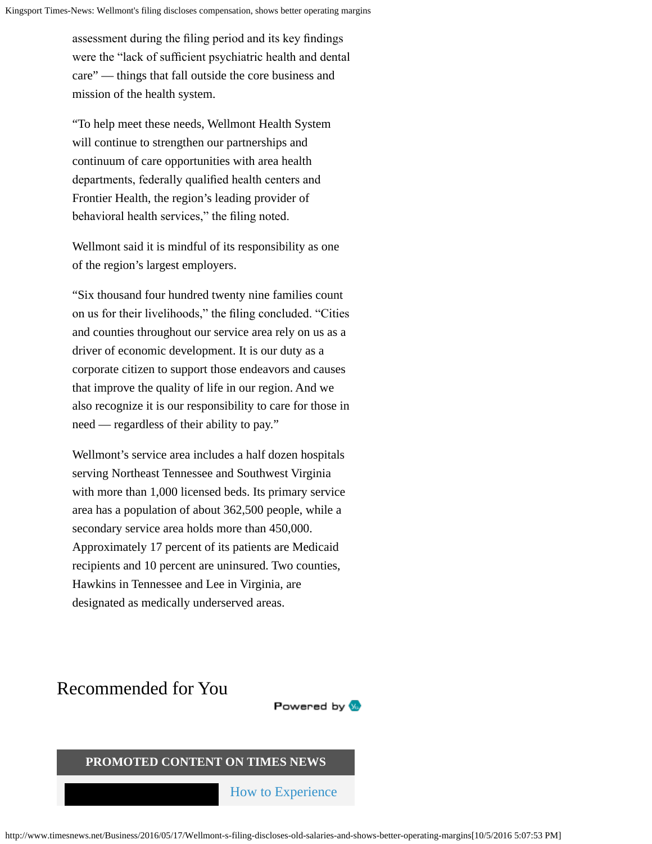assessment during the fling period and its key fndings were the "lack of sufficient psychiatric health and dental care" — things that fall outside the core business and mission of the health system.

"To help meet these needs, Wellmont Health System will continue to strengthen our partnerships and continuum of care opportunities with area health departments, federally qualifed health centers and Frontier Health, the region's leading provider of behavioral health services," the fling noted.

Wellmont said it is mindful of its responsibility as one of the region's largest employers.

"Six thousand four hundred twenty nine families count on us for their livelihoods," the fling concluded. "Cities and counties throughout our service area rely on us as a driver of economic development. It is our duty as a corporate citizen to support those endeavors and causes that improve the quality of life in our region. And we also recognize it is our responsibility to care for those in need — regardless of their ability to pay."

Wellmont's service area includes a half dozen hospitals serving Northeast Tennessee and Southwest Virginia with more than 1,000 licensed beds. Its primary service area has a population of about 362,500 people, while a secondary service area holds more than 450,000. Approximately 17 percent of its patients are Medicaid recipients and 10 percent are uninsured. Two counties, Hawkins in Tennessee and Lee in Virginia, are designated as medically underserved areas.

# Recommended for You

Powered by **W** 

# **PROMOTED CONTENT ON TIMES NEWS**

[How to Experience](http://www.timesnews.net/promoted?prx_t=zlUCABAYJAt_IDA&ntv_fr)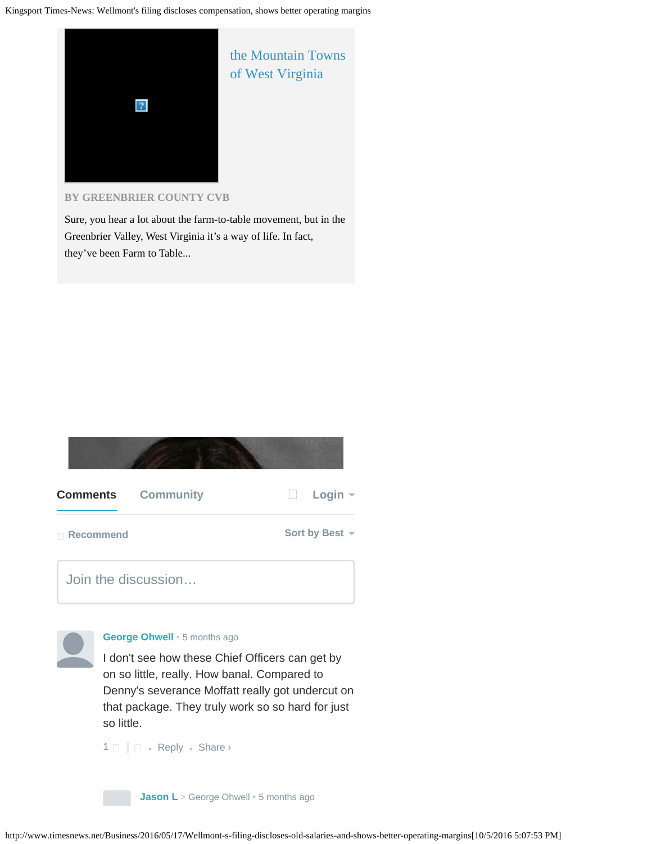

**BY [GREENBRIER COUNTY CVB](http://www.timesnews.net/promoted?prx_t=zlUCABAYJAt_IDA&ntv_fr)**

Sure, you hear a lot about the farm-to-table movement, but in the Greenbrier Valley, West Virginia it's a way of life. In fact, they've been Farm to Table...





### **[George Ohwell](https://disqus.com/by/disqus_c8xz6Xh04O/)** • [5 months ago](#page-0-0)

I don't see how these Chief Officers can get by on so little, really. How banal. Compared to Denny's severance Moffatt really got undercut on that package. They truly work so so hard for just so little.

 $1 \Box$  $1 \Box$   $\Box$  • [Reply](http://disqus.com/embed/comments/?base=default&version=451b054ca2771ef5448b21578a611652&f=sngkingsport&t_i=%2FBusiness%2F2016%2F05%2F17%2FWellmont-s-filing-discloses-old-salaries-and-shows-better-operating-margins&t_u=http%3A%2F%2Fwww.timesnews.net%2FBusiness%2F2016%2F05%2F17%2FWellmont-s-filing-discloses-old-salaries-and-shows-better-operating-margins&t_d=Wellmont) • Share ›